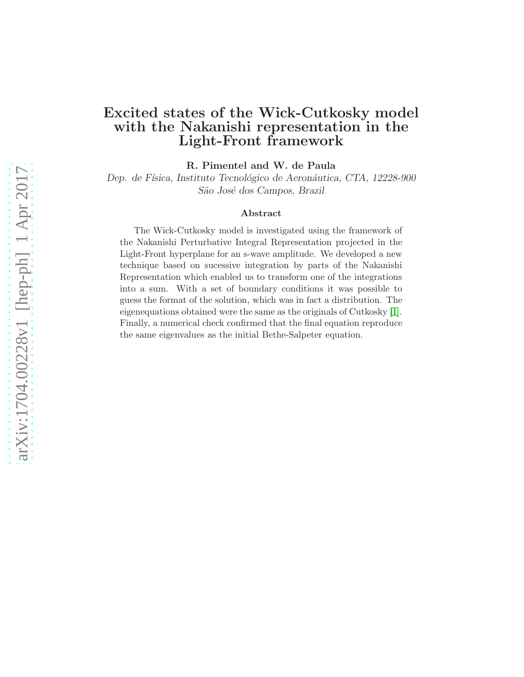# Excited states of the Wick-Cutkosky model with the Nakanishi representation in the Light-Front framework

R. Pimentel and W. de Paula

Dep. de Física, Instituto Tecnológico de Aeronáutica, CTA, 12228-900 São José dos Campos, Brazil

#### Abstract

The Wick-Cutkosky model is investigated using the framework of the Nakanishi Perturbative Integral Representation projected in the Light-Front hyperplane for an s-wave amplitude. We developed a new technique based on sucessive integration by parts of the Nakanishi Representation which enabled us to transform one of the integrations into a sum. With a set of boundary conditions it was possible to guess the format of the solution, which was in fact a distribution. The eigenequations obtained were the same as the originals of Cutkosky [\[1\]](#page-8-0). Finally, a numerical check confirmed that the final equation reproduce the same eigenvalues as the initial Bethe-Salpeter equation.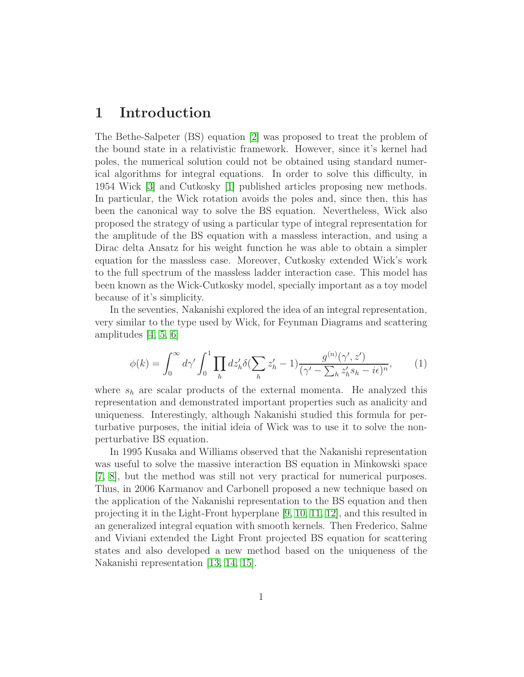### 1 Introduction

The Bethe-Salpeter (BS) equation [\[2\]](#page-8-1) was proposed to treat the problem of the bound state in a relativistic framework. However, since it's kernel had poles, the numerical solution could not be obtained using standard numerical algorithms for integral equations. In order to solve this difficulty, in 1954 Wick [\[3\]](#page-8-2) and Cutkosky [\[1\]](#page-8-0) published articles proposing new methods. In particular, the Wick rotation avoids the poles and, since then, this has been the canonical way to solve the BS equation. Nevertheless, Wick also proposed the strategy of using a particular type of integral representation for the amplitude of the BS equation with a massless interaction, and using a Dirac delta Ansatz for his weight function he was able to obtain a simpler equation for the massless case. Moreover, Cutkosky extended Wick's work to the full spectrum of the massless ladder interaction case. This model has been known as the Wick-Cutkosky model, specially important as a toy model because of it's simplicity.

In the seventies, Nakanishi explored the idea of an integral representation, very similar to the type used by Wick, for Feynman Diagrams and scattering amplitudes [\[4,](#page-8-3) [5,](#page-8-4) [6\]](#page-8-5)

$$
\phi(k) = \int_0^\infty d\gamma' \int_0^1 \prod_h dz_h' \delta(\sum_h z_h' - 1) \frac{g^{(n)}(\gamma', z')}{(\gamma' - \sum_h z_h' s_h - i\epsilon)^n},\tag{1}
$$

where  $s_h$  are scalar products of the external momenta. He analyzed this representation and demonstrated important properties such as analicity and uniqueness. Interestingly, although Nakanishi studied this formula for perturbative purposes, the initial ideia of Wick was to use it to solve the nonperturbative BS equation.

In 1995 Kusaka and Williams observed that the Nakanishi representation was useful to solve the massive interaction BS equation in Minkowski space [\[7,](#page-9-0) [8\]](#page-9-1), but the method was still not very practical for numerical purposes. Thus, in 2006 Karmanov and Carbonell proposed a new technique based on the application of the Nakanishi representation to the BS equation and then projecting it in the Light-Front hyperplane [\[9,](#page-9-2) [10,](#page-9-3) [11,](#page-9-4) [12\]](#page-9-5), and this resulted in an generalized integral equation with smooth kernels. Then Frederico, Salme and Viviani extended the Light Front projected BS equation for scattering states and also developed a new method based on the uniqueness of the Nakanishi representation [\[13,](#page-9-6) [14,](#page-9-7) [15\]](#page-9-8).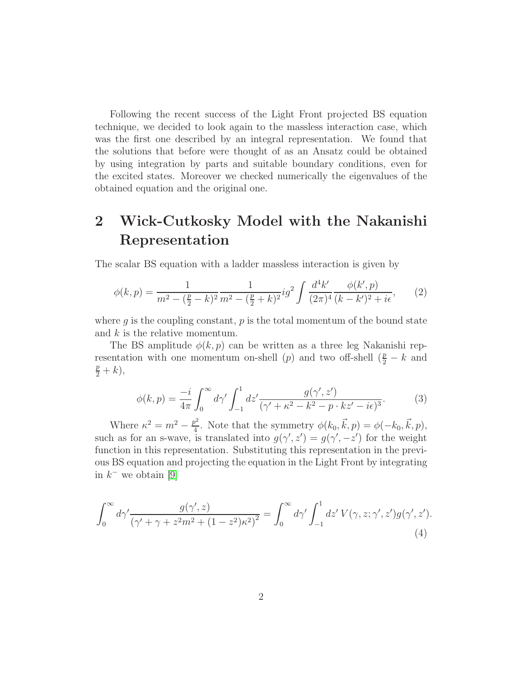Following the recent success of the Light Front projected BS equation technique, we decided to look again to the massless interaction case, which was the first one described by an integral representation. We found that the solutions that before were thought of as an Ansatz could be obtained by using integration by parts and suitable boundary conditions, even for the excited states. Moreover we checked numerically the eigenvalues of the obtained equation and the original one.

# 2 Wick-Cutkosky Model with the Nakanishi Representation

The scalar BS equation with a ladder massless interaction is given by

$$
\phi(k,p) = \frac{1}{m^2 - (\frac{p}{2} - k)^2} \frac{1}{m^2 - (\frac{p}{2} + k)^2} ig^2 \int \frac{d^4 k'}{(2\pi)^4} \frac{\phi(k',p)}{(k - k')^2 + i\epsilon},\tag{2}
$$

where  $q$  is the coupling constant,  $p$  is the total momentum of the bound state and  $k$  is the relative momentum.

The BS amplitude  $\phi(k, p)$  can be written as a three leg Nakanishi representation with one momentum on-shell (p) and two off-shell  $(\frac{p}{2} - k$  and  $\frac{p}{2}+k),$ 

<span id="page-2-1"></span>
$$
\phi(k,p) = \frac{-i}{4\pi} \int_0^\infty d\gamma' \int_{-1}^1 dz' \frac{g(\gamma',z')}{(\gamma'+\kappa^2-k^2-p\cdot kz'-i\epsilon)^3}.\tag{3}
$$

Where  $\kappa^2 = m^2 - \frac{p^2}{4}$  $\phi^2$ . Note that the symmetry  $\phi(k_0, \vec{k}, p) = \phi(-k_0, \vec{k}, p),$ such as for an s-wave, is translated into  $g(\gamma', z') = g(\gamma', -z')$  for the weight function in this representation. Substituting this representation in the previous BS equation and projecting the equation in the Light Front by integrating in  $k^-$  we obtain [\[9\]](#page-9-2)

<span id="page-2-0"></span>
$$
\int_0^\infty d\gamma' \frac{g(\gamma', z)}{(\gamma' + \gamma + z^2 m^2 + (1 - z^2)\kappa^2)^2} = \int_0^\infty d\gamma' \int_{-1}^1 dz' V(\gamma, z; \gamma', z') g(\gamma', z').
$$
\n(4)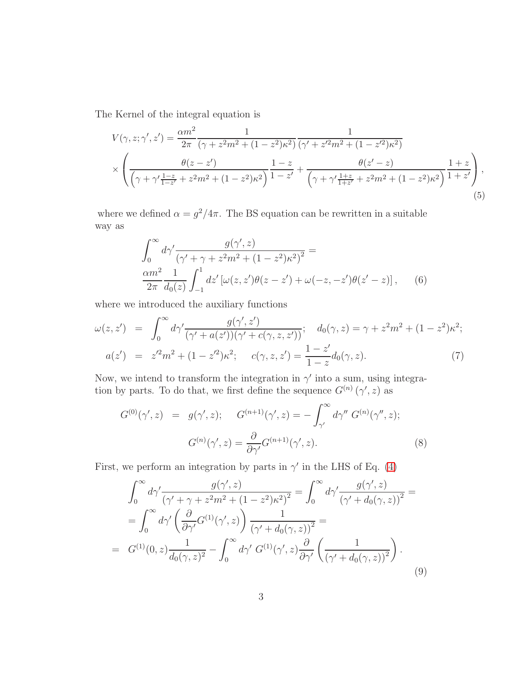The Kernel of the integral equation is

$$
V(\gamma, z; \gamma', z') = \frac{\alpha m^2}{2\pi} \frac{1}{(\gamma + z^2 m^2 + (1 - z^2)\kappa^2)} \frac{1}{(\gamma' + z'^2 m^2 + (1 - z'^2)\kappa^2)} \times \left( \frac{\theta(z - z')}{(\gamma + \gamma' \frac{1 - z}{1 - z'} + z^2 m^2 + (1 - z^2)\kappa^2)} \frac{1 - z}{1 - z'} + \frac{\theta(z' - z)}{(\gamma + \gamma' \frac{1 + z}{1 + z'} + z^2 m^2 + (1 - z^2)\kappa^2)} \frac{1 + z}{1 + z'} \right),
$$
\n(5)

where we defined  $\alpha = g^2/4\pi$ . The BS equation can be rewritten in a suitable way as

$$
\int_0^{\infty} d\gamma' \frac{g(\gamma', z)}{(\gamma' + \gamma + z^2 m^2 + (1 - z^2)\kappa^2)^2} =
$$
  

$$
\frac{\alpha m^2}{2\pi} \frac{1}{d_0(z)} \int_{-1}^1 dz' \left[ \omega(z, z')\theta(z - z') + \omega(-z, -z')\theta(z' - z) \right], \qquad (6)
$$

where we introduced the auxiliary functions

$$
\omega(z, z') = \int_0^\infty d\gamma' \frac{g(\gamma', z')}{(\gamma' + a(z'))(\gamma' + c(\gamma, z, z'))}; \quad d_0(\gamma, z) = \gamma + z^2 m^2 + (1 - z^2) \kappa^2;
$$
  

$$
a(z') = z'^2 m^2 + (1 - z'^2) \kappa^2; \quad c(\gamma, z, z') = \frac{1 - z'}{1 - z} d_0(\gamma, z). \tag{7}
$$

Now, we intend to transform the integration in  $\gamma'$  into a sum, using integration by parts. To do that, we first define the sequence  $G^{(n)}(\gamma', z)$  as

$$
G^{(0)}(\gamma', z) = g(\gamma', z); \qquad G^{(n+1)}(\gamma', z) = -\int_{\gamma'}^{\infty} d\gamma'' G^{(n)}(\gamma'', z);
$$

$$
G^{(n)}(\gamma', z) = \frac{\partial}{\partial \gamma'} G^{(n+1)}(\gamma', z).
$$
(8)

First, we perform an integration by parts in  $\gamma'$  in the LHS of Eq. [\(4\)](#page-2-0)

$$
\int_0^\infty d\gamma' \frac{g(\gamma', z)}{(\gamma' + \gamma + z^2 m^2 + (1 - z^2)\kappa^2)^2} = \int_0^\infty d\gamma' \frac{g(\gamma', z)}{(\gamma' + d_0(\gamma, z))^2} =
$$
  
\n
$$
= \int_0^\infty d\gamma' \left(\frac{\partial}{\partial \gamma'} G^{(1)}(\gamma', z)\right) \frac{1}{(\gamma' + d_0(\gamma, z))^2} =
$$
  
\n
$$
= G^{(1)}(0, z) \frac{1}{d_0(\gamma, z)^2} - \int_0^\infty d\gamma' G^{(1)}(\gamma', z) \frac{\partial}{\partial \gamma'} \left(\frac{1}{(\gamma' + d_0(\gamma, z))^2}\right).
$$
  
\n(9)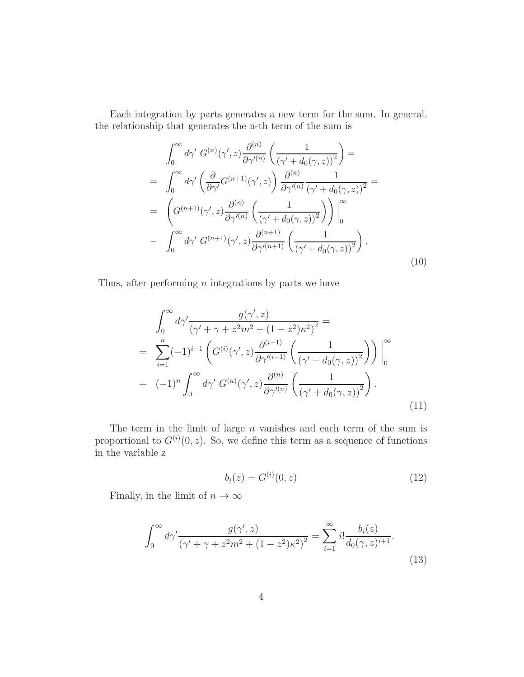Each integration by parts generates a new term for the sum. In general, the relationship that generates the n-th term of the sum is

$$
\int_0^\infty d\gamma' G^{(n)}(\gamma', z) \frac{\partial^{(n)}}{\partial \gamma'(n)} \left( \frac{1}{(\gamma' + d_0(\gamma, z))^2} \right) =
$$
\n
$$
= \int_0^\infty d\gamma' \left( \frac{\partial}{\partial \gamma'} G^{(n+1)}(\gamma', z) \right) \frac{\partial^{(n)}}{\partial \gamma'(n)} \frac{1}{(\gamma' + d_0(\gamma, z))^2} =
$$
\n
$$
= \left( G^{(n+1)}(\gamma', z) \frac{\partial^{(n)}}{\partial \gamma'(n)} \left( \frac{1}{(\gamma' + d_0(\gamma, z))^2} \right) \right) \Big|_0^\infty
$$
\n
$$
- \int_0^\infty d\gamma' G^{(n+1)}(\gamma', z) \frac{\partial^{(n+1)}}{\partial \gamma'(n+1)} \left( \frac{1}{(\gamma' + d_0(\gamma, z))^2} \right).
$$
\n(10)

Thus, after performing  $n$  integrations by parts we have

$$
\int_0^\infty d\gamma' \frac{g(\gamma', z)}{(\gamma' + \gamma + z^2 m^2 + (1 - z^2)\kappa^2)^2} =
$$
\n
$$
= \sum_{i=1}^n (-1)^{i-1} \left( G^{(i)}(\gamma', z) \frac{\partial^{(i-1)}}{\partial \gamma'^{(i-1)}} \left( \frac{1}{(\gamma' + d_0(\gamma, z))^2} \right) \right) \Big|_0^\infty
$$
\n
$$
+ (-1)^n \int_0^\infty d\gamma' G^{(n)}(\gamma', z) \frac{\partial^{(n)}}{\partial \gamma'^{(n)}} \left( \frac{1}{(\gamma' + d_0(\gamma, z))^2} \right).
$$
\n(11)

The term in the limit of large  $n$  vanishes and each term of the sum is proportional to  $G^{(i)}(0, z)$ . So, we define this term as a sequence of functions in the variable z

$$
b_i(z) = G^{(i)}(0, z) \tag{12}
$$

Finally, in the limit of  $n \to \infty$ 

<span id="page-4-0"></span>
$$
\int_0^\infty d\gamma' \frac{g(\gamma', z)}{(\gamma' + \gamma + z^2 m^2 + (1 - z^2)\kappa^2)^2} = \sum_{i=1}^\infty i! \frac{b_i(z)}{d_0(\gamma, z)^{i+1}}.
$$
\n(13)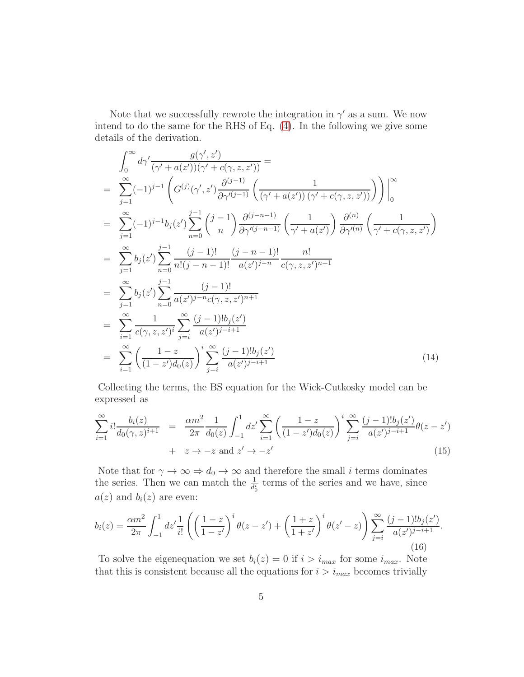Note that we successfully rewrote the integration in  $\gamma'$  as a sum. We now intend to do the same for the RHS of Eq. [\(4\)](#page-2-0). In the following we give some details of the derivation.

<span id="page-5-0"></span>
$$
\int_{0}^{\infty} d\gamma' \frac{g(\gamma', z')}{(\gamma' + a(z'))(\gamma' + c(\gamma, z, z'))} =
$$
\n
$$
= \sum_{j=1}^{\infty} (-1)^{j-1} \left( G^{(j)}(\gamma', z') \frac{\partial^{(j-1)}}{\partial \gamma^{(j-1)}} \left( \frac{1}{(\gamma' + a(z'))(\gamma' + c(\gamma, z, z'))} \right) \right) \Big|_{0}^{\infty}
$$
\n
$$
= \sum_{j=1}^{\infty} (-1)^{j-1} b_j(z') \sum_{n=0}^{j-1} \left( \frac{j-1}{n} \right) \frac{\partial^{(j-n-1)}}{\partial \gamma^{(j-n-1)}} \left( \frac{1}{\gamma' + a(z')}\right) \frac{\partial^{(n)}}{\partial \gamma^{(n)}} \left( \frac{1}{\gamma' + c(\gamma, z, z')}\right)
$$
\n
$$
= \sum_{j=1}^{\infty} b_j(z') \sum_{n=0}^{j-1} \frac{(j-1)!}{n!(j-n-1)!} \frac{(j-n-1)!}{a(z')^{j-n}} \frac{n!}{c(\gamma, z, z')^{n+1}}
$$
\n
$$
= \sum_{j=1}^{\infty} b_j(z') \sum_{n=0}^{j-1} \frac{(j-1)!}{a(z')^{j-n}c(\gamma, z, z')^{n+1}}
$$
\n
$$
= \sum_{i=1}^{\infty} \frac{1}{c(\gamma, z, z')^i} \sum_{j=i}^{\infty} \frac{(j-1)! b_j(z')}{a(z')^{j-i+1}}
$$
\n
$$
= \sum_{i=1}^{\infty} \left( \frac{1-z}{(1-z')d_0(z)} \right)^i \sum_{j=i}^{\infty} \frac{(j-1)! b_j(z')}{a(z')^{j-i+1}}
$$
\n(14)

Collecting the terms, the BS equation for the Wick-Cutkosky model can be expressed as

$$
\sum_{i=1}^{\infty} i! \frac{b_i(z)}{d_0(\gamma, z)^{i+1}} = \frac{\alpha m^2}{2\pi} \frac{1}{d_0(z)} \int_{-1}^1 dz' \sum_{i=1}^{\infty} \left( \frac{1-z}{(1-z')d_0(z)} \right)^i \sum_{j=i}^{\infty} \frac{(j-1)!b_j(z')}{a(z')^{j-i+1}} \theta(z-z')
$$
  
+  $z \to -z$  and  $z' \to -z'$  (15)

Note that for  $\gamma \to \infty \Rightarrow d_0 \to \infty$  and therefore the small i terms dominates the series. Then we can match the  $\frac{1}{d_0^i}$  terms of the series and we have, since  $a(z)$  and  $b_i(z)$  are even:

$$
b_i(z) = \frac{\alpha m^2}{2\pi} \int_{-1}^1 dz' \frac{1}{i!} \left( \left( \frac{1-z}{1-z'} \right)^i \theta(z-z') + \left( \frac{1+z}{1+z'} \right)^i \theta(z'-z) \right) \sum_{j=i}^{\infty} \frac{(j-1)! b_j(z')}{a(z')^{j-i+1}}.
$$
\n(16)

To solve the eigenequation we set  $b_i(z) = 0$  if  $i > i_{max}$  for some  $i_{max}$ . Note that this is consistent because all the equations for  $i > i_{max}$  becomes trivially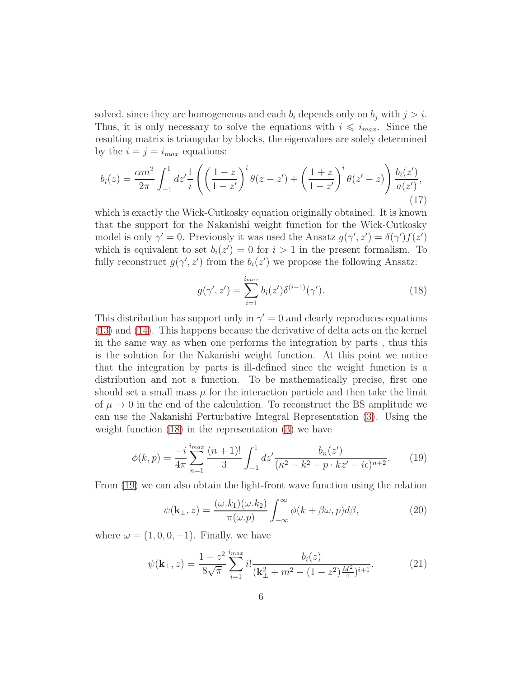solved, since they are homogeneous and each  $b_i$  depends only on  $b_j$  with  $j > i$ . Thus, it is only necessary to solve the equations with  $i \leq i_{max}$ . Since the resulting matrix is triangular by blocks, the eigenvalues are solely determined by the  $i = j = i_{max}$  equations:

<span id="page-6-2"></span>
$$
b_i(z) = \frac{\alpha m^2}{2\pi} \int_{-1}^1 dz' \frac{1}{i} \left( \left( \frac{1-z}{1-z'} \right)^i \theta(z-z') + \left( \frac{1+z}{1+z'} \right)^i \theta(z'-z) \right) \frac{b_i(z')}{a(z')},\tag{17}
$$

which is exactly the Wick-Cutkosky equation originally obtained. It is known that the support for the Nakanishi weight function for the Wick-Cutkosky model is only  $\gamma' = 0$ . Previously it was used the Ansatz  $g(\gamma', z') = \delta(\gamma') f(z')$ which is equivalent to set  $b_i(z') = 0$  for  $i > 1$  in the present formalism. To fully reconstruct  $g(\gamma', z')$  from the  $b_i(z')$  we propose the following Ansatz:

<span id="page-6-0"></span>
$$
g(\gamma', z') = \sum_{i=1}^{i_{max}} b_i(z') \delta^{(i-1)}(\gamma').
$$
 (18)

This distribution has support only in  $\gamma' = 0$  and clearly reproduces equations [\(13\)](#page-4-0) and [\(14\)](#page-5-0). This happens because the derivative of delta acts on the kernel in the same way as when one performs the integration by parts , thus this is the solution for the Nakanishi weight function. At this point we notice that the integration by parts is ill-defined since the weight function is a distribution and not a function. To be mathematically precise, first one should set a small mass  $\mu$  for the interaction particle and then take the limit of  $\mu \to 0$  in the end of the calculation. To reconstruct the BS amplitude we can use the Nakanishi Perturbative Integral Representation [\(3\)](#page-2-1). Using the weight function [\(18\)](#page-6-0) in the representation [\(3\)](#page-2-1) we have

<span id="page-6-1"></span>
$$
\phi(k,p) = \frac{-i}{4\pi} \sum_{n=1}^{\text{inax}} \frac{(n+1)!}{3} \int_{-1}^{1} dz' \frac{b_n(z')}{(\kappa^2 - k^2 - p \cdot kz' - i\epsilon)^{n+2}}.
$$
 (19)

From [\(19\)](#page-6-1) we can also obtain the light-front wave function using the relation

$$
\psi(\mathbf{k}_{\perp},z) = \frac{(\omega.k_1)(\omega.k_2)}{\pi(\omega.p)} \int_{-\infty}^{\infty} \phi(k+\beta\omega,p)d\beta,
$$
\n(20)

where  $\omega = (1, 0, 0, -1)$ . Finally, we have

$$
\psi(\mathbf{k}_{\perp},z) = \frac{1-z^2}{8\sqrt{\pi}} \sum_{i=1}^{\text{inax}} i! \frac{b_i(z)}{(\mathbf{k}_{\perp}^2 + m^2 - (1-z^2)\frac{M^2}{4})^{i+1}}.
$$
(21)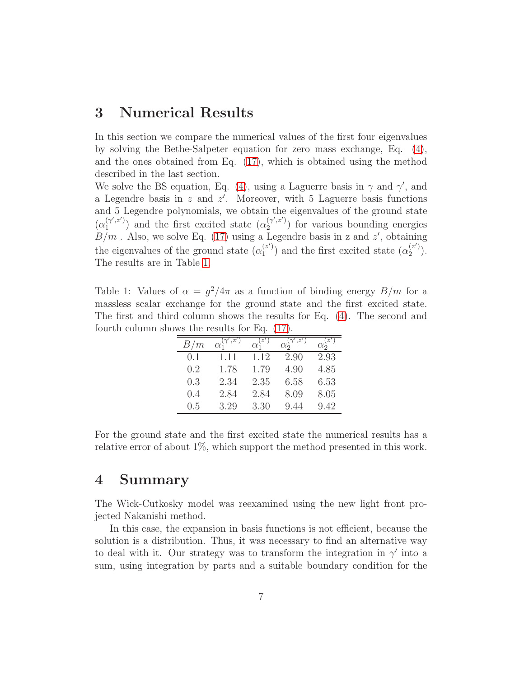# 3 Numerical Results

In this section we compare the numerical values of the first four eigenvalues by solving the Bethe-Salpeter equation for zero mass exchange, Eq. [\(4\)](#page-2-0), and the ones obtained from Eq. [\(17\)](#page-6-2), which is obtained using the method described in the last section.

We solve the BS equation, Eq. [\(4\)](#page-2-0), using a Laguerre basis in  $\gamma$  and  $\gamma'$ , and a Legendre basis in  $z$  and  $z'$ . Moreover, with 5 Laguerre basis functions and 5 Legendre polynomials, we obtain the eigenvalues of the ground state  $(\alpha_1^{(\gamma',z')})$  $\binom{\gamma',z'}{1}$  and the first excited state  $(\alpha_2^{(\gamma',z')})$  $\binom{(\gamma, z)}{2}$  for various bounding energies  $B/m$ . Also, we solve Eq. [\(17\)](#page-6-2) using a Legendre basis in z and z', obtaining the eigenvalues of the ground state  $(\alpha_1^{(z)})$  $\binom{z'}{1}$  and the first excited state  $(\alpha_2^{(z')})$  $\binom{z}{2}$ . The results are in Table [1.](#page-7-0)

<span id="page-7-0"></span>Table 1: Values of  $\alpha = g^2/4\pi$  as a function of binding energy  $B/m$  for a massless scalar exchange for the ground state and the first excited state. The first and third column shows the results for Eq. [\(4\)](#page-2-0). The second and fourth column shows the results for Eq. [\(17\)](#page-6-2).

| B/m | $\cdot z'$<br>$\alpha_i$ | $\alpha_i$ | $\cdot z'$<br>$\alpha_{2}$ | z'<br>$\alpha_{2}$ |
|-----|--------------------------|------------|----------------------------|--------------------|
| 0.1 | 1.11                     | 1.12       | 2.90                       | 2.93               |
| 0.2 | 1.78                     | 1.79       | 4.90                       | 4.85               |
| 0.3 | 2.34                     | 2.35       | 6.58                       | 6.53               |
| 0.4 | 2.84                     | 2.84       | 8.09                       | 8.05               |
| 0.5 | 3.29                     | 3.30       | 9.44                       | 9.42               |

For the ground state and the first excited state the numerical results has a relative error of about 1%, which support the method presented in this work.

### 4 Summary

The Wick-Cutkosky model was reexamined using the new light front projected Nakanishi method.

In this case, the expansion in basis functions is not efficient, because the solution is a distribution. Thus, it was necessary to find an alternative way to deal with it. Our strategy was to transform the integration in  $\gamma'$  into a sum, using integration by parts and a suitable boundary condition for the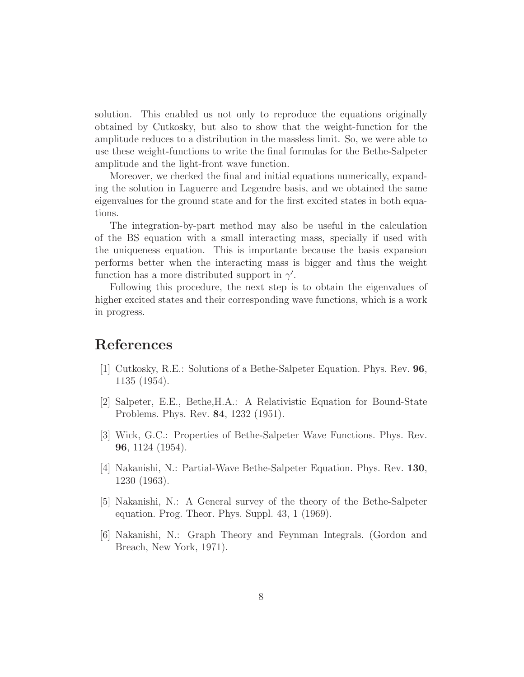solution. This enabled us not only to reproduce the equations originally obtained by Cutkosky, but also to show that the weight-function for the amplitude reduces to a distribution in the massless limit. So, we were able to use these weight-functions to write the final formulas for the Bethe-Salpeter amplitude and the light-front wave function.

Moreover, we checked the final and initial equations numerically, expanding the solution in Laguerre and Legendre basis, and we obtained the same eigenvalues for the ground state and for the first excited states in both equations.

The integration-by-part method may also be useful in the calculation of the BS equation with a small interacting mass, specially if used with the uniqueness equation. This is importante because the basis expansion performs better when the interacting mass is bigger and thus the weight function has a more distributed support in  $\gamma'$ .

Following this procedure, the next step is to obtain the eigenvalues of higher excited states and their corresponding wave functions, which is a work in progress.

### <span id="page-8-0"></span>References

- [1] Cutkosky, R.E.: Solutions of a Bethe-Salpeter Equation. Phys. Rev. 96, 1135 (1954).
- <span id="page-8-2"></span><span id="page-8-1"></span>[2] Salpeter, E.E., Bethe,H.A.: A Relativistic Equation for Bound-State Problems. Phys. Rev. 84, 1232 (1951).
- <span id="page-8-3"></span>[3] Wick, G.C.: Properties of Bethe-Salpeter Wave Functions. Phys. Rev. 96, 1124 (1954).
- <span id="page-8-4"></span>[4] Nakanishi, N.: Partial-Wave Bethe-Salpeter Equation. Phys. Rev. 130, 1230 (1963).
- [5] Nakanishi, N.: A General survey of the theory of the Bethe-Salpeter equation. Prog. Theor. Phys. Suppl. 43, 1 (1969).
- <span id="page-8-5"></span>[6] Nakanishi, N.: Graph Theory and Feynman Integrals. (Gordon and Breach, New York, 1971).